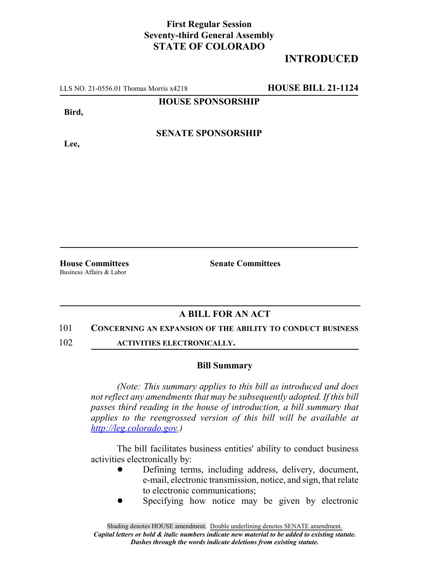## **First Regular Session Seventy-third General Assembly STATE OF COLORADO**

# **INTRODUCED**

LLS NO. 21-0556.01 Thomas Morris x4218 **HOUSE BILL 21-1124**

#### **HOUSE SPONSORSHIP**

**Bird,**

**Lee,**

### **SENATE SPONSORSHIP**

Business Affairs & Labor

**House Committees Senate Committees**

## **A BILL FOR AN ACT**

#### 101 **CONCERNING AN EXPANSION OF THE ABILITY TO CONDUCT BUSINESS**

102 **ACTIVITIES ELECTRONICALLY.**

#### **Bill Summary**

*(Note: This summary applies to this bill as introduced and does not reflect any amendments that may be subsequently adopted. If this bill passes third reading in the house of introduction, a bill summary that applies to the reengrossed version of this bill will be available at http://leg.colorado.gov.)*

The bill facilitates business entities' ability to conduct business activities electronically by:

- Defining terms, including address, delivery, document, e-mail, electronic transmission, notice, and sign, that relate to electronic communications;
- Specifying how notice may be given by electronic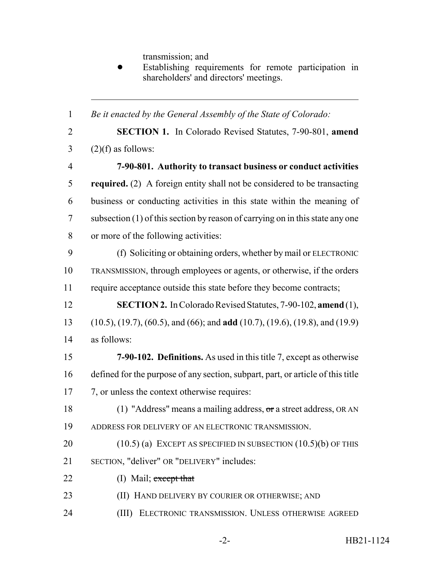transmission; and

Establishing requirements for remote participation in shareholders' and directors' meetings.

 *Be it enacted by the General Assembly of the State of Colorado:* **SECTION 1.** In Colorado Revised Statutes, 7-90-801, **amend**  $3 \qquad (2)(f)$  as follows: **7-90-801. Authority to transact business or conduct activities required.** (2) A foreign entity shall not be considered to be transacting business or conducting activities in this state within the meaning of subsection (1) of this section by reason of carrying on in this state any one or more of the following activities: (f) Soliciting or obtaining orders, whether by mail or ELECTRONIC TRANSMISSION, through employees or agents, or otherwise, if the orders require acceptance outside this state before they become contracts; **SECTION 2.** In Colorado Revised Statutes, 7-90-102, **amend** (1), (10.5), (19.7), (60.5), and (66); and **add** (10.7), (19.6), (19.8), and (19.9) as follows: **7-90-102. Definitions.** As used in this title 7, except as otherwise defined for the purpose of any section, subpart, part, or article of this title 17 7, or unless the context otherwise requires: (1) "Address" means a mailing address, or a street address, OR AN ADDRESS FOR DELIVERY OF AN ELECTRONIC TRANSMISSION. 20 (10.5) (a) EXCEPT AS SPECIFIED IN SUBSECTION (10.5) (b) OF THIS SECTION, "deliver" OR "DELIVERY" includes: 22 (I) Mail; except that (II) HAND DELIVERY BY COURIER OR OTHERWISE; AND (III) ELECTRONIC TRANSMISSION. UNLESS OTHERWISE AGREED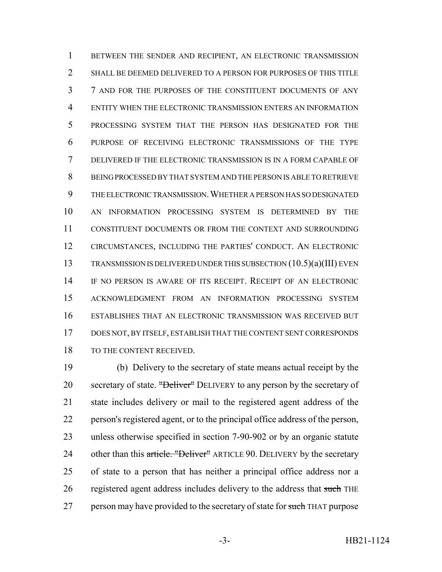1 BETWEEN THE SENDER AND RECIPIENT, AN ELECTRONIC TRANSMISSION SHALL BE DEEMED DELIVERED TO A PERSON FOR PURPOSES OF THIS TITLE 7 AND FOR THE PURPOSES OF THE CONSTITUENT DOCUMENTS OF ANY ENTITY WHEN THE ELECTRONIC TRANSMISSION ENTERS AN INFORMATION PROCESSING SYSTEM THAT THE PERSON HAS DESIGNATED FOR THE PURPOSE OF RECEIVING ELECTRONIC TRANSMISSIONS OF THE TYPE DELIVERED IF THE ELECTRONIC TRANSMISSION IS IN A FORM CAPABLE OF BEING PROCESSED BY THAT SYSTEM AND THE PERSON IS ABLE TO RETRIEVE THE ELECTRONIC TRANSMISSION.WHETHER A PERSON HAS SO DESIGNATED AN INFORMATION PROCESSING SYSTEM IS DETERMINED BY THE CONSTITUENT DOCUMENTS OR FROM THE CONTEXT AND SURROUNDING CIRCUMSTANCES, INCLUDING THE PARTIES' CONDUCT. AN ELECTRONIC TRANSMISSION IS DELIVERED UNDER THIS SUBSECTION (10.5)(a)(III) EVEN IF NO PERSON IS AWARE OF ITS RECEIPT. RECEIPT OF AN ELECTRONIC ACKNOWLEDGMENT FROM AN INFORMATION PROCESSING SYSTEM ESTABLISHES THAT AN ELECTRONIC TRANSMISSION WAS RECEIVED BUT DOES NOT, BY ITSELF, ESTABLISH THAT THE CONTENT SENT CORRESPONDS 18 TO THE CONTENT RECEIVED.

 (b) Delivery to the secretary of state means actual receipt by the 20 secretary of state. "Deliver" DELIVERY to any person by the secretary of state includes delivery or mail to the registered agent address of the person's registered agent, or to the principal office address of the person, unless otherwise specified in section 7-90-902 or by an organic statute 24 other than this article. "Deliver" ARTICLE 90. DELIVERY by the secretary of state to a person that has neither a principal office address nor a 26 registered agent address includes delivery to the address that such THE 27 person may have provided to the secretary of state for such THAT purpose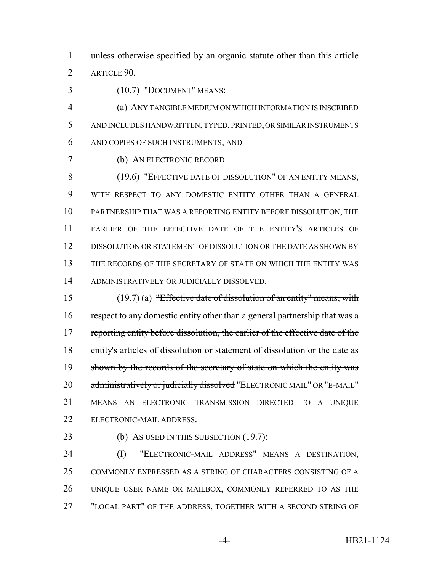1 unless otherwise specified by an organic statute other than this article ARTICLE 90.

(10.7) "DOCUMENT" MEANS:

 (a) ANY TANGIBLE MEDIUM ON WHICH INFORMATION IS INSCRIBED AND INCLUDES HANDWRITTEN, TYPED, PRINTED, OR SIMILAR INSTRUMENTS AND COPIES OF SUCH INSTRUMENTS; AND

(b) AN ELECTRONIC RECORD.

8 (19.6) "EFFECTIVE DATE OF DISSOLUTION" OF AN ENTITY MEANS, WITH RESPECT TO ANY DOMESTIC ENTITY OTHER THAN A GENERAL PARTNERSHIP THAT WAS A REPORTING ENTITY BEFORE DISSOLUTION, THE EARLIER OF THE EFFECTIVE DATE OF THE ENTITY'S ARTICLES OF DISSOLUTION OR STATEMENT OF DISSOLUTION OR THE DATE AS SHOWN BY THE RECORDS OF THE SECRETARY OF STATE ON WHICH THE ENTITY WAS ADMINISTRATIVELY OR JUDICIALLY DISSOLVED.

 (19.7) (a) "Effective date of dissolution of an entity" means, with 16 respect to any domestic entity other than a general partnership that was a 17 reporting entity before dissolution, the earlier of the effective date of the entity's articles of dissolution or statement of dissolution or the date as 19 shown by the records of the secretary of state on which the entity was 20 administratively or judicially dissolved "ELECTRONIC MAIL" OR "E-MAIL" MEANS AN ELECTRONIC TRANSMISSION DIRECTED TO A UNIQUE ELECTRONIC-MAIL ADDRESS.

23 (b) As USED IN THIS SUBSECTION (19.7):

 (I) "ELECTRONIC-MAIL ADDRESS" MEANS A DESTINATION, COMMONLY EXPRESSED AS A STRING OF CHARACTERS CONSISTING OF A UNIQUE USER NAME OR MAILBOX, COMMONLY REFERRED TO AS THE "LOCAL PART" OF THE ADDRESS, TOGETHER WITH A SECOND STRING OF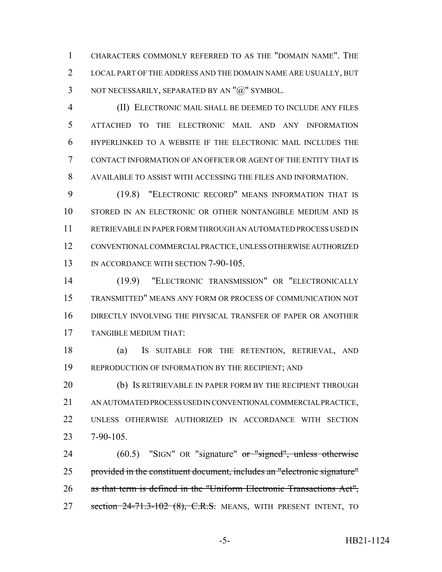CHARACTERS COMMONLY REFERRED TO AS THE "DOMAIN NAME". THE LOCAL PART OF THE ADDRESS AND THE DOMAIN NAME ARE USUALLY, BUT 3 NOT NECESSARILY, SEPARATED BY AN "@" SYMBOL.

 (II) ELECTRONIC MAIL SHALL BE DEEMED TO INCLUDE ANY FILES ATTACHED TO THE ELECTRONIC MAIL AND ANY INFORMATION HYPERLINKED TO A WEBSITE IF THE ELECTRONIC MAIL INCLUDES THE CONTACT INFORMATION OF AN OFFICER OR AGENT OF THE ENTITY THAT IS AVAILABLE TO ASSIST WITH ACCESSING THE FILES AND INFORMATION.

 (19.8) "ELECTRONIC RECORD" MEANS INFORMATION THAT IS STORED IN AN ELECTRONIC OR OTHER NONTANGIBLE MEDIUM AND IS RETRIEVABLE IN PAPER FORM THROUGH AN AUTOMATED PROCESS USED IN CONVENTIONAL COMMERCIAL PRACTICE, UNLESS OTHERWISE AUTHORIZED 13 IN ACCORDANCE WITH SECTION 7-90-105.

 (19.9) "ELECTRONIC TRANSMISSION" OR "ELECTRONICALLY TRANSMITTED" MEANS ANY FORM OR PROCESS OF COMMUNICATION NOT DIRECTLY INVOLVING THE PHYSICAL TRANSFER OF PAPER OR ANOTHER TANGIBLE MEDIUM THAT:

 (a) IS SUITABLE FOR THE RETENTION, RETRIEVAL, AND REPRODUCTION OF INFORMATION BY THE RECIPIENT; AND

20 (b) IS RETRIEVABLE IN PAPER FORM BY THE RECIPIENT THROUGH AN AUTOMATED PROCESS USED IN CONVENTIONAL COMMERCIAL PRACTICE, UNLESS OTHERWISE AUTHORIZED IN ACCORDANCE WITH SECTION 7-90-105.

24 (60.5) "SIGN" OR "signature" or "signed", unless otherwise 25 provided in the constituent document, includes an "electronic signature" as that term is defined in the "Uniform Electronic Transactions Act", 27 section 24-71.3-102 (8), C.R.S. MEANS, WITH PRESENT INTENT, TO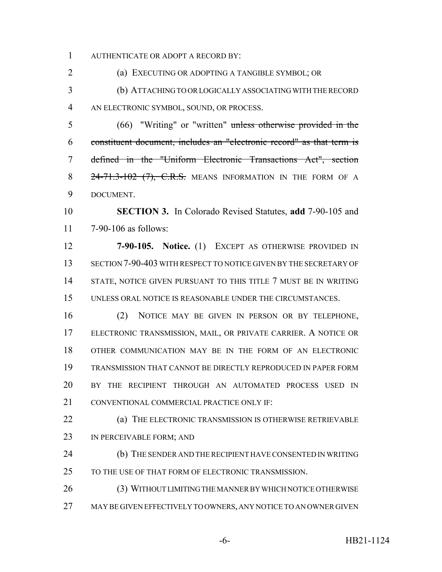AUTHENTICATE OR ADOPT A RECORD BY:

(a) EXECUTING OR ADOPTING A TANGIBLE SYMBOL; OR

 (b) ATTACHING TO OR LOGICALLY ASSOCIATING WITH THE RECORD AN ELECTRONIC SYMBOL, SOUND, OR PROCESS.

 (66) "Writing" or "written" unless otherwise provided in the constituent document, includes an "electronic record" as that term is defined in the "Uniform Electronic Transactions Act", section 8 24-71.3-102 (7), C.R.S. MEANS INFORMATION IN THE FORM OF A DOCUMENT.

 **SECTION 3.** In Colorado Revised Statutes, **add** 7-90-105 and 7-90-106 as follows:

 **7-90-105. Notice.** (1) EXCEPT AS OTHERWISE PROVIDED IN SECTION 7-90-403 WITH RESPECT TO NOTICE GIVEN BY THE SECRETARY OF 14 STATE, NOTICE GIVEN PURSUANT TO THIS TITLE 7 MUST BE IN WRITING UNLESS ORAL NOTICE IS REASONABLE UNDER THE CIRCUMSTANCES.

 (2) NOTICE MAY BE GIVEN IN PERSON OR BY TELEPHONE, ELECTRONIC TRANSMISSION, MAIL, OR PRIVATE CARRIER. A NOTICE OR OTHER COMMUNICATION MAY BE IN THE FORM OF AN ELECTRONIC TRANSMISSION THAT CANNOT BE DIRECTLY REPRODUCED IN PAPER FORM BY THE RECIPIENT THROUGH AN AUTOMATED PROCESS USED IN 21 CONVENTIONAL COMMERCIAL PRACTICE ONLY IF:

 (a) THE ELECTRONIC TRANSMISSION IS OTHERWISE RETRIEVABLE IN PERCEIVABLE FORM; AND

 (b) THE SENDER AND THE RECIPIENT HAVE CONSENTED IN WRITING 25 TO THE USE OF THAT FORM OF ELECTRONIC TRANSMISSION.

 (3) WITHOUT LIMITING THE MANNER BY WHICH NOTICE OTHERWISE MAY BE GIVEN EFFECTIVELY TO OWNERS, ANY NOTICE TO AN OWNER GIVEN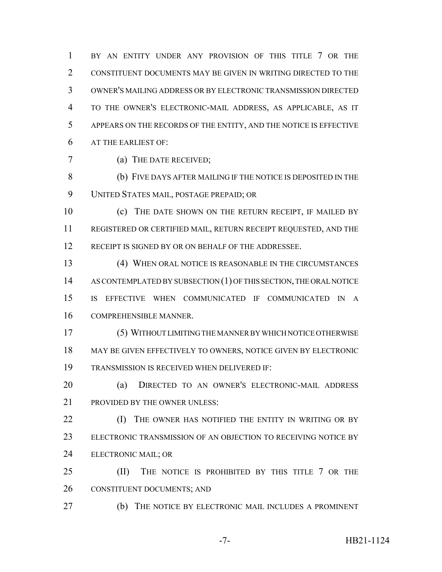BY AN ENTITY UNDER ANY PROVISION OF THIS TITLE 7 OR THE CONSTITUENT DOCUMENTS MAY BE GIVEN IN WRITING DIRECTED TO THE OWNER'S MAILING ADDRESS OR BY ELECTRONIC TRANSMISSION DIRECTED TO THE OWNER'S ELECTRONIC-MAIL ADDRESS, AS APPLICABLE, AS IT APPEARS ON THE RECORDS OF THE ENTITY, AND THE NOTICE IS EFFECTIVE AT THE EARLIEST OF:

(a) THE DATE RECEIVED;

 (b) FIVE DAYS AFTER MAILING IF THE NOTICE IS DEPOSITED IN THE UNITED STATES MAIL, POSTAGE PREPAID; OR

 (c) THE DATE SHOWN ON THE RETURN RECEIPT, IF MAILED BY REGISTERED OR CERTIFIED MAIL, RETURN RECEIPT REQUESTED, AND THE 12 RECEIPT IS SIGNED BY OR ON BEHALF OF THE ADDRESSEE.

 (4) WHEN ORAL NOTICE IS REASONABLE IN THE CIRCUMSTANCES 14 AS CONTEMPLATED BY SUBSECTION (1) OF THIS SECTION, THE ORAL NOTICE IS EFFECTIVE WHEN COMMUNICATED IF COMMUNICATED IN A COMPREHENSIBLE MANNER.

 (5) WITHOUT LIMITING THE MANNER BY WHICH NOTICE OTHERWISE MAY BE GIVEN EFFECTIVELY TO OWNERS, NOTICE GIVEN BY ELECTRONIC TRANSMISSION IS RECEIVED WHEN DELIVERED IF:

 (a) DIRECTED TO AN OWNER'S ELECTRONIC-MAIL ADDRESS PROVIDED BY THE OWNER UNLESS:

**(I)** THE OWNER HAS NOTIFIED THE ENTITY IN WRITING OR BY ELECTRONIC TRANSMISSION OF AN OBJECTION TO RECEIVING NOTICE BY ELECTRONIC MAIL; OR

**(II)** THE NOTICE IS PROHIBITED BY THIS TITLE 7 OR THE CONSTITUENT DOCUMENTS; AND

(b) THE NOTICE BY ELECTRONIC MAIL INCLUDES A PROMINENT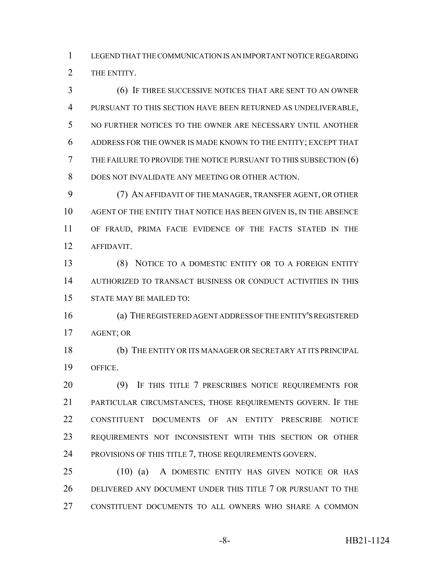LEGEND THAT THE COMMUNICATION IS AN IMPORTANT NOTICE REGARDING THE ENTITY.

 (6) IF THREE SUCCESSIVE NOTICES THAT ARE SENT TO AN OWNER PURSUANT TO THIS SECTION HAVE BEEN RETURNED AS UNDELIVERABLE, NO FURTHER NOTICES TO THE OWNER ARE NECESSARY UNTIL ANOTHER ADDRESS FOR THE OWNER IS MADE KNOWN TO THE ENTITY; EXCEPT THAT THE FAILURE TO PROVIDE THE NOTICE PURSUANT TO THIS SUBSECTION (6) DOES NOT INVALIDATE ANY MEETING OR OTHER ACTION.

 (7) AN AFFIDAVIT OF THE MANAGER, TRANSFER AGENT, OR OTHER AGENT OF THE ENTITY THAT NOTICE HAS BEEN GIVEN IS, IN THE ABSENCE OF FRAUD, PRIMA FACIE EVIDENCE OF THE FACTS STATED IN THE AFFIDAVIT.

 (8) NOTICE TO A DOMESTIC ENTITY OR TO A FOREIGN ENTITY AUTHORIZED TO TRANSACT BUSINESS OR CONDUCT ACTIVITIES IN THIS STATE MAY BE MAILED TO:

 (a) THE REGISTERED AGENT ADDRESS OF THE ENTITY'S REGISTERED AGENT; OR

 (b) THE ENTITY OR ITS MANAGER OR SECRETARY AT ITS PRINCIPAL OFFICE.

20 (9) IF THIS TITLE 7 PRESCRIBES NOTICE REQUIREMENTS FOR PARTICULAR CIRCUMSTANCES, THOSE REQUIREMENTS GOVERN. IF THE CONSTITUENT DOCUMENTS OF AN ENTITY PRESCRIBE NOTICE REQUIREMENTS NOT INCONSISTENT WITH THIS SECTION OR OTHER PROVISIONS OF THIS TITLE 7, THOSE REQUIREMENTS GOVERN.

 (10) (a) A DOMESTIC ENTITY HAS GIVEN NOTICE OR HAS DELIVERED ANY DOCUMENT UNDER THIS TITLE 7 OR PURSUANT TO THE CONSTITUENT DOCUMENTS TO ALL OWNERS WHO SHARE A COMMON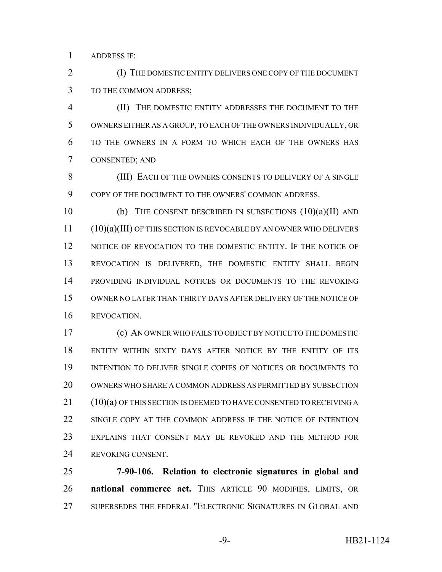ADDRESS IF:

 (I) THE DOMESTIC ENTITY DELIVERS ONE COPY OF THE DOCUMENT TO THE COMMON ADDRESS;

 (II) THE DOMESTIC ENTITY ADDRESSES THE DOCUMENT TO THE OWNERS EITHER AS A GROUP, TO EACH OF THE OWNERS INDIVIDUALLY, OR TO THE OWNERS IN A FORM TO WHICH EACH OF THE OWNERS HAS CONSENTED; AND

8 (III) EACH OF THE OWNERS CONSENTS TO DELIVERY OF A SINGLE COPY OF THE DOCUMENT TO THE OWNERS' COMMON ADDRESS.

10 (b) THE CONSENT DESCRIBED IN SUBSECTIONS  $(10)(a)(II)$  and 11 (10)(a)(III) OF THIS SECTION IS REVOCABLE BY AN OWNER WHO DELIVERS NOTICE OF REVOCATION TO THE DOMESTIC ENTITY. IF THE NOTICE OF REVOCATION IS DELIVERED, THE DOMESTIC ENTITY SHALL BEGIN PROVIDING INDIVIDUAL NOTICES OR DOCUMENTS TO THE REVOKING OWNER NO LATER THAN THIRTY DAYS AFTER DELIVERY OF THE NOTICE OF REVOCATION.

 (c) AN OWNER WHO FAILS TO OBJECT BY NOTICE TO THE DOMESTIC ENTITY WITHIN SIXTY DAYS AFTER NOTICE BY THE ENTITY OF ITS INTENTION TO DELIVER SINGLE COPIES OF NOTICES OR DOCUMENTS TO OWNERS WHO SHARE A COMMON ADDRESS AS PERMITTED BY SUBSECTION 21 (10)(a) OF THIS SECTION IS DEEMED TO HAVE CONSENTED TO RECEIVING A 22 SINGLE COPY AT THE COMMON ADDRESS IF THE NOTICE OF INTENTION EXPLAINS THAT CONSENT MAY BE REVOKED AND THE METHOD FOR REVOKING CONSENT.

 **7-90-106. Relation to electronic signatures in global and national commerce act.** THIS ARTICLE 90 MODIFIES, LIMITS, OR SUPERSEDES THE FEDERAL "ELECTRONIC SIGNATURES IN GLOBAL AND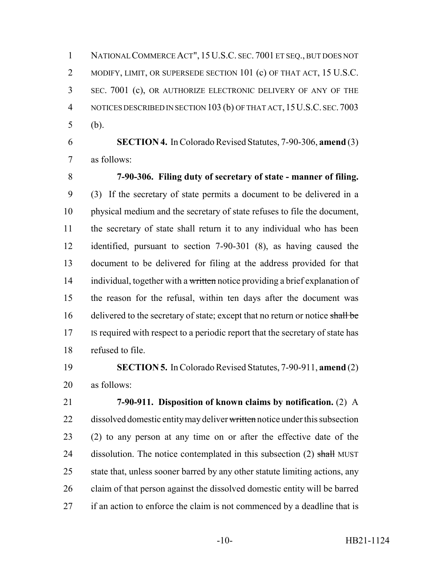NATIONAL COMMERCE ACT", 15U.S.C. SEC. 7001 ET SEQ., BUT DOES NOT 2 MODIFY, LIMIT, OR SUPERSEDE SECTION 101 (c) OF THAT ACT, 15 U.S.C. SEC. 7001 (c), OR AUTHORIZE ELECTRONIC DELIVERY OF ANY OF THE NOTICES DESCRIBED IN SECTION 103 (b) OF THAT ACT, 15U.S.C. SEC.7003 (b).

 **SECTION 4.** In Colorado Revised Statutes, 7-90-306, **amend** (3) as follows:

 **7-90-306. Filing duty of secretary of state - manner of filing.** (3) If the secretary of state permits a document to be delivered in a physical medium and the secretary of state refuses to file the document, the secretary of state shall return it to any individual who has been identified, pursuant to section 7-90-301 (8), as having caused the document to be delivered for filing at the address provided for that 14 individual, together with a written notice providing a brief explanation of the reason for the refusal, within ten days after the document was 16 delivered to the secretary of state; except that no return or notice shall be IS required with respect to a periodic report that the secretary of state has refused to file.

 **SECTION 5.** In Colorado Revised Statutes, 7-90-911, **amend** (2) as follows:

 **7-90-911. Disposition of known claims by notification.** (2) A 22 dissolved domestic entity may deliver written notice under this subsection (2) to any person at any time on or after the effective date of the 24 dissolution. The notice contemplated in this subsection (2) shall MUST state that, unless sooner barred by any other statute limiting actions, any claim of that person against the dissolved domestic entity will be barred 27 if an action to enforce the claim is not commenced by a deadline that is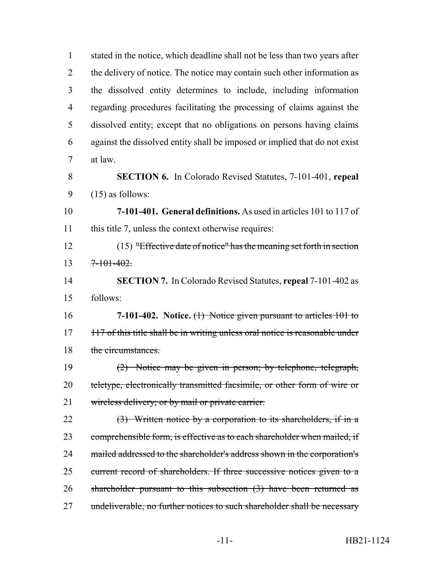| $\mathbf{1}$   | stated in the notice, which deadline shall not be less than two years after  |
|----------------|------------------------------------------------------------------------------|
| $\overline{2}$ | the delivery of notice. The notice may contain such other information as     |
| 3              | the dissolved entity determines to include, including information            |
| $\overline{4}$ | regarding procedures facilitating the processing of claims against the       |
| 5              | dissolved entity; except that no obligations on persons having claims        |
| 6              | against the dissolved entity shall be imposed or implied that do not exist   |
| $\tau$         | at law.                                                                      |
| 8              | <b>SECTION 6.</b> In Colorado Revised Statutes, 7-101-401, repeal            |
| 9              | $(15)$ as follows:                                                           |
| 10             | 7-101-401. General definitions. As used in articles 101 to 117 of            |
| 11             | this title 7, unless the context otherwise requires:                         |
| 12             | $(15)$ "Effective date of notice" has the meaning set forth in section       |
| 13             | $7 - 101 - 402.$                                                             |
| 14             | <b>SECTION 7.</b> In Colorado Revised Statutes, repeal 7-101-402 as          |
| 15             | follows:                                                                     |
| 16             | 7-101-402. Notice. $(1)$ Notice given pursuant to articles 101 to            |
| 17             | 117 of this title shall be in writing unless oral notice is reasonable under |
| 18             | the circumstances.                                                           |
| 19             | (2) Notice may be given in person; by telephone, telegraph,                  |
| 20             | teletype, electronically transmitted facsimile, or other form of wire or     |
| 21             | wireless delivery; or by mail or private carrier.                            |
| 22             | $(3)$ Written notice by a corporation to its shareholders, if in a           |
| 23             | comprehensible form, is effective as to each shareholder when mailed, if     |
| 24             | mailed addressed to the shareholder's address shown in the corporation's     |
| 25             | current record of shareholders. If three successive notices given to a       |
| 26             | shareholder pursuant to this subsection $(3)$ have been returned as          |
| 27             | undeliverable, no further notices to such shareholder shall be necessary     |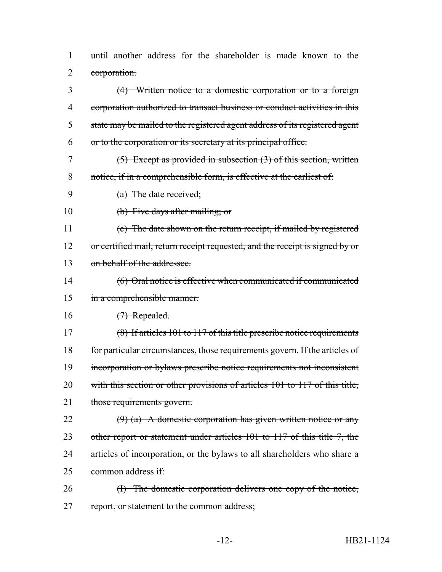1 until another address for the shareholder is made known to the 2 corporation.

 (4) Written notice to a domestic corporation or to a foreign corporation authorized to transact business or conduct activities in this 5 state may be mailed to the registered agent address of its registered agent or to the corporation or its secretary at its principal office. (5) Except as provided in subsection (3) of this section, written notice, if in a comprehensible form, is effective at the earliest of: (a) The date received; (b) Five days after mailing; or (c) The date shown on the return receipt, if mailed by registered 12 or certified mail, return receipt requested, and the receipt is signed by or on behalf of the addressee. (6) Oral notice is effective when communicated if communicated in a comprehensible manner. 16 (7) Repealed. 17 (8) If articles 101 to 117 of this title prescribe notice requirements for particular circumstances, those requirements govern. If the articles of incorporation or bylaws prescribe notice requirements not inconsistent 20 with this section or other provisions of articles 101 to 117 of this title, 21 those requirements govern.  $(9)$  (a) A domestic corporation has given written notice or any 23 other report or statement under articles 101 to 117 of this title 7, the 24 articles of incorporation, or the bylaws to all shareholders who share a common address if: 26 (I) The domestic corporation delivers one copy of the notice,

27 report, or statement to the common address;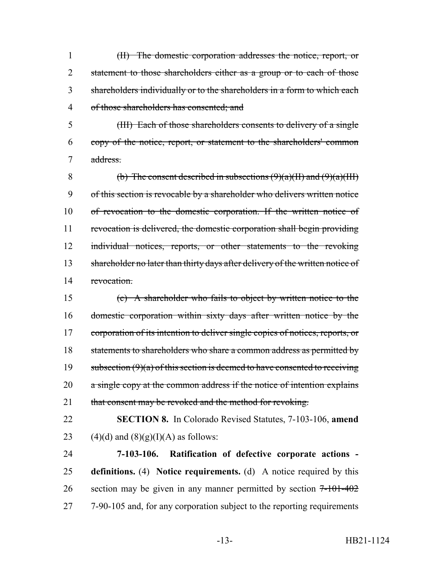(II) The domestic corporation addresses the notice, report, or 2 statement to those shareholders either as a group or to each of those shareholders individually or to the shareholders in a form to which each of those shareholders has consented; and

5 (III) Each of those shareholders consents to delivery of a single 6 copy of the notice, report, or statement to the shareholders' common 7 address.

8 (b) The consent described in subsections  $(9)(a)(H)$  and  $(9)(a)(HH)$ 9 of this section is revocable by a shareholder who delivers written notice 10 of revocation to the domestic corporation. If the written notice of 11 revocation is delivered, the domestic corporation shall begin providing 12 individual notices, reports, or other statements to the revoking 13 shareholder no later than thirty days after delivery of the written notice of 14 revocation.

15 (c) A shareholder who fails to object by written notice to the 16 domestic corporation within sixty days after written notice by the 17 corporation of its intention to deliver single copies of notices, reports, or 18 statements to shareholders who share a common address as permitted by 19 subsection  $(9)(a)$  of this section is deemed to have consented to receiving 20 a single copy at the common address if the notice of intention explains 21 that consent may be revoked and the method for revoking.

22 **SECTION 8.** In Colorado Revised Statutes, 7-103-106, **amend** 23 (4)(d) and  $(8)(g)(I)(A)$  as follows:

24 **7-103-106. Ratification of defective corporate actions -** 25 **definitions.** (4) **Notice requirements.** (d) A notice required by this 26 section may be given in any manner permitted by section  $7-101-402$ 27 7-90-105 and, for any corporation subject to the reporting requirements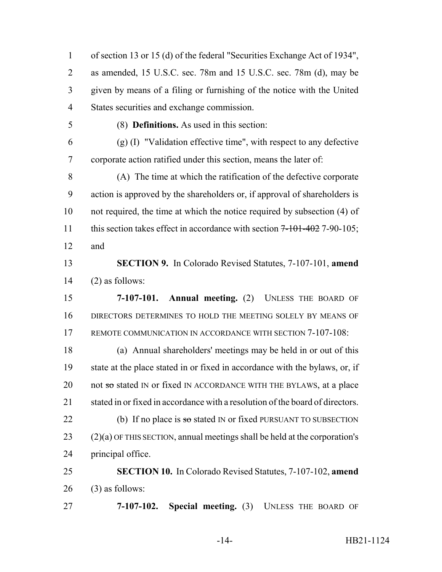of section 13 or 15 (d) of the federal "Securities Exchange Act of 1934", as amended, 15 U.S.C. sec. 78m and 15 U.S.C. sec. 78m (d), may be given by means of a filing or furnishing of the notice with the United States securities and exchange commission.

(8) **Definitions.** As used in this section:

 $(9)(1)$  "Validation effective time", with respect to any defective corporate action ratified under this section, means the later of:

 (A) The time at which the ratification of the defective corporate action is approved by the shareholders or, if approval of shareholders is not required, the time at which the notice required by subsection (4) of 11 this section takes effect in accordance with section  $7-101-402$  7-90-105; and

 **SECTION 9.** In Colorado Revised Statutes, 7-107-101, **amend** (2) as follows:

 **7-107-101. Annual meeting.** (2) UNLESS THE BOARD OF DIRECTORS DETERMINES TO HOLD THE MEETING SOLELY BY MEANS OF 17 REMOTE COMMUNICATION IN ACCORDANCE WITH SECTION 7-107-108:

 (a) Annual shareholders' meetings may be held in or out of this state at the place stated in or fixed in accordance with the bylaws, or, if 20 not so stated IN or fixed IN ACCORDANCE WITH THE BYLAWS, at a place 21 stated in or fixed in accordance with a resolution of the board of directors. 22 (b) If no place is  $\pi$  so stated IN or fixed PURSUANT TO SUBSECTION (2)(a) OF THIS SECTION, annual meetings shall be held at the corporation's principal office.

 **SECTION 10.** In Colorado Revised Statutes, 7-107-102, **amend** (3) as follows:

**7-107-102. Special meeting.** (3) UNLESS THE BOARD OF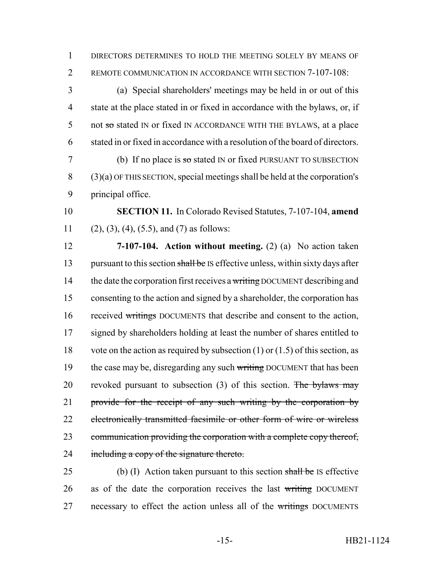1 DIRECTORS DETERMINES TO HOLD THE MEETING SOLELY BY MEANS OF 2 REMOTE COMMUNICATION IN ACCORDANCE WITH SECTION 7-107-108:

 (a) Special shareholders' meetings may be held in or out of this state at the place stated in or fixed in accordance with the bylaws, or, if 5 not so stated IN or fixed IN ACCORDANCE WITH THE BYLAWS, at a place stated in or fixed in accordance with a resolution of the board of directors.

 $7$  (b) If no place is so stated IN or fixed PURSUANT TO SUBSECTION 8 (3)(a) OF THIS SECTION, special meetings shall be held at the corporation's 9 principal office.

10 **SECTION 11.** In Colorado Revised Statutes, 7-107-104, **amend** 11 (2), (3), (4), (5.5), and (7) as follows:

12 **7-107-104. Action without meeting.** (2) (a) No action taken 13 pursuant to this section shall be IS effective unless, within sixty days after 14 the date the corporation first receives a writing DOCUMENT describing and 15 consenting to the action and signed by a shareholder, the corporation has 16 received writings DOCUMENTS that describe and consent to the action, 17 signed by shareholders holding at least the number of shares entitled to 18 vote on the action as required by subsection  $(1)$  or  $(1.5)$  of this section, as 19 the case may be, disregarding any such writing DOCUMENT that has been 20 revoked pursuant to subsection  $(3)$  of this section. The bylaws may 21 provide for the receipt of any such writing by the corporation by 22 electronically transmitted facsimile or other form of wire or wireless 23 communication providing the corporation with a complete copy thereof, 24 including a copy of the signature thereto.

25 (b) (I) Action taken pursuant to this section  $\frac{\text{shall}}{\text{beh}}$  is effective 26 as of the date the corporation receives the last writing DOCUMENT 27 necessary to effect the action unless all of the writings DOCUMENTS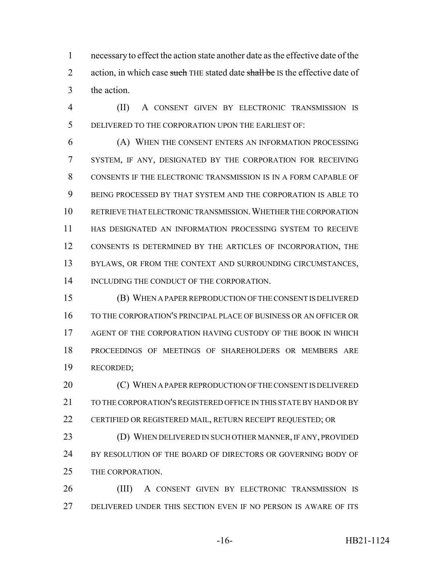necessary to effect the action state another date as the effective date of the 2 action, in which case such THE stated date shall be IS the effective date of the action.

 (II) A CONSENT GIVEN BY ELECTRONIC TRANSMISSION IS DELIVERED TO THE CORPORATION UPON THE EARLIEST OF:

 (A) WHEN THE CONSENT ENTERS AN INFORMATION PROCESSING SYSTEM, IF ANY, DESIGNATED BY THE CORPORATION FOR RECEIVING CONSENTS IF THE ELECTRONIC TRANSMISSION IS IN A FORM CAPABLE OF BEING PROCESSED BY THAT SYSTEM AND THE CORPORATION IS ABLE TO RETRIEVE THAT ELECTRONIC TRANSMISSION.WHETHER THE CORPORATION HAS DESIGNATED AN INFORMATION PROCESSING SYSTEM TO RECEIVE CONSENTS IS DETERMINED BY THE ARTICLES OF INCORPORATION, THE 13 BYLAWS, OR FROM THE CONTEXT AND SURROUNDING CIRCUMSTANCES, 14 INCLUDING THE CONDUCT OF THE CORPORATION.

 (B) WHEN A PAPER REPRODUCTION OF THE CONSENT IS DELIVERED TO THE CORPORATION'S PRINCIPAL PLACE OF BUSINESS OR AN OFFICER OR AGENT OF THE CORPORATION HAVING CUSTODY OF THE BOOK IN WHICH PROCEEDINGS OF MEETINGS OF SHAREHOLDERS OR MEMBERS ARE RECORDED;

20 (C) WHEN A PAPER REPRODUCTION OF THE CONSENT IS DELIVERED TO THE CORPORATION'S REGISTERED OFFICE IN THIS STATE BY HAND OR BY 22 CERTIFIED OR REGISTERED MAIL, RETURN RECEIPT REQUESTED; OR (D) WHEN DELIVERED IN SUCH OTHER MANNER, IF ANY, PROVIDED BY RESOLUTION OF THE BOARD OF DIRECTORS OR GOVERNING BODY OF

THE CORPORATION.

 (III) A CONSENT GIVEN BY ELECTRONIC TRANSMISSION IS DELIVERED UNDER THIS SECTION EVEN IF NO PERSON IS AWARE OF ITS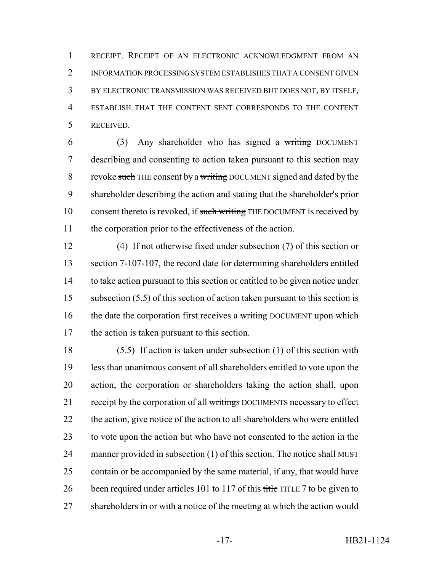RECEIPT. RECEIPT OF AN ELECTRONIC ACKNOWLEDGMENT FROM AN INFORMATION PROCESSING SYSTEM ESTABLISHES THAT A CONSENT GIVEN BY ELECTRONIC TRANSMISSION WAS RECEIVED BUT DOES NOT, BY ITSELF, ESTABLISH THAT THE CONTENT SENT CORRESPONDS TO THE CONTENT RECEIVED.

 (3) Any shareholder who has signed a writing DOCUMENT describing and consenting to action taken pursuant to this section may 8 revoke such THE consent by a writing DOCUMENT signed and dated by the shareholder describing the action and stating that the shareholder's prior 10 consent thereto is revoked, if such writing THE DOCUMENT is received by the corporation prior to the effectiveness of the action.

 (4) If not otherwise fixed under subsection (7) of this section or 13 section 7-107-107, the record date for determining shareholders entitled to take action pursuant to this section or entitled to be given notice under subsection (5.5) of this section of action taken pursuant to this section is 16 the date the corporation first receives a writing DOCUMENT upon which the action is taken pursuant to this section.

 (5.5) If action is taken under subsection (1) of this section with less than unanimous consent of all shareholders entitled to vote upon the action, the corporation or shareholders taking the action shall, upon 21 receipt by the corporation of all writings DOCUMENTS necessary to effect 22 the action, give notice of the action to all shareholders who were entitled to vote upon the action but who have not consented to the action in the 24 manner provided in subsection  $(1)$  of this section. The notice shall MUST contain or be accompanied by the same material, if any, that would have 26 been required under articles 101 to 117 of this title TITLE 7 to be given to shareholders in or with a notice of the meeting at which the action would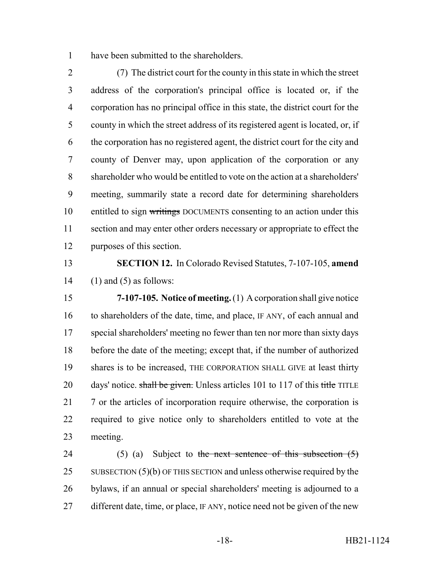have been submitted to the shareholders.

 (7) The district court for the county in this state in which the street address of the corporation's principal office is located or, if the corporation has no principal office in this state, the district court for the county in which the street address of its registered agent is located, or, if the corporation has no registered agent, the district court for the city and county of Denver may, upon application of the corporation or any shareholder who would be entitled to vote on the action at a shareholders' meeting, summarily state a record date for determining shareholders 10 entitled to sign writings DOCUMENTS consenting to an action under this section and may enter other orders necessary or appropriate to effect the purposes of this section.

 **SECTION 12.** In Colorado Revised Statutes, 7-107-105, **amend** 14  $(1)$  and  $(5)$  as follows:

 **7-107-105. Notice of meeting.** (1) A corporation shall give notice 16 to shareholders of the date, time, and place, IF ANY, of each annual and special shareholders' meeting no fewer than ten nor more than sixty days before the date of the meeting; except that, if the number of authorized shares is to be increased, THE CORPORATION SHALL GIVE at least thirty 20 days' notice. shall be given. Unless articles 101 to 117 of this title TITLE 21 7 or the articles of incorporation require otherwise, the corporation is required to give notice only to shareholders entitled to vote at the meeting.

24 (5) (a) Subject to the next sentence of this subsection  $(5)$ 25 SUBSECTION (5)(b) OF THIS SECTION and unless otherwise required by the bylaws, if an annual or special shareholders' meeting is adjourned to a 27 different date, time, or place, IF ANY, notice need not be given of the new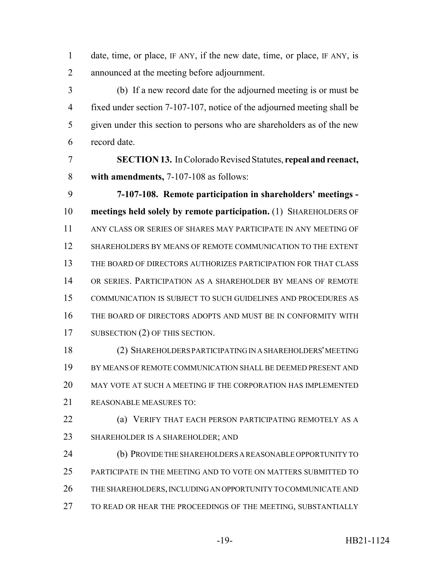date, time, or place, IF ANY, if the new date, time, or place, IF ANY, is announced at the meeting before adjournment.

 (b) If a new record date for the adjourned meeting is or must be fixed under section 7-107-107, notice of the adjourned meeting shall be given under this section to persons who are shareholders as of the new record date.

 **SECTION 13.** In Colorado Revised Statutes, **repeal and reenact, with amendments,** 7-107-108 as follows:

 **7-107-108. Remote participation in shareholders' meetings - meetings held solely by remote participation.** (1) SHAREHOLDERS OF ANY CLASS OR SERIES OF SHARES MAY PARTICIPATE IN ANY MEETING OF SHAREHOLDERS BY MEANS OF REMOTE COMMUNICATION TO THE EXTENT THE BOARD OF DIRECTORS AUTHORIZES PARTICIPATION FOR THAT CLASS OR SERIES. PARTICIPATION AS A SHAREHOLDER BY MEANS OF REMOTE COMMUNICATION IS SUBJECT TO SUCH GUIDELINES AND PROCEDURES AS THE BOARD OF DIRECTORS ADOPTS AND MUST BE IN CONFORMITY WITH 17 SUBSECTION (2) OF THIS SECTION.

 (2) SHAREHOLDERS PARTICIPATING IN A SHAREHOLDERS' MEETING BY MEANS OF REMOTE COMMUNICATION SHALL BE DEEMED PRESENT AND MAY VOTE AT SUCH A MEETING IF THE CORPORATION HAS IMPLEMENTED REASONABLE MEASURES TO:

 (a) VERIFY THAT EACH PERSON PARTICIPATING REMOTELY AS A SHAREHOLDER IS A SHAREHOLDER; AND

 (b) PROVIDE THE SHAREHOLDERS A REASONABLE OPPORTUNITY TO PARTICIPATE IN THE MEETING AND TO VOTE ON MATTERS SUBMITTED TO THE SHAREHOLDERS, INCLUDING AN OPPORTUNITY TO COMMUNICATE AND 27 TO READ OR HEAR THE PROCEEDINGS OF THE MEETING, SUBSTANTIALLY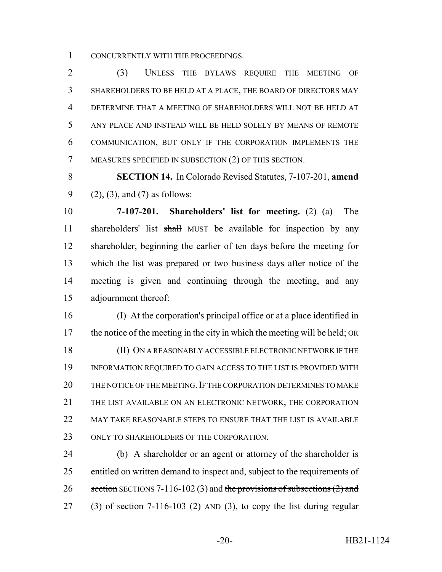CONCURRENTLY WITH THE PROCEEDINGS.

 (3) UNLESS THE BYLAWS REQUIRE THE MEETING OF SHAREHOLDERS TO BE HELD AT A PLACE, THE BOARD OF DIRECTORS MAY DETERMINE THAT A MEETING OF SHAREHOLDERS WILL NOT BE HELD AT ANY PLACE AND INSTEAD WILL BE HELD SOLELY BY MEANS OF REMOTE COMMUNICATION, BUT ONLY IF THE CORPORATION IMPLEMENTS THE MEASURES SPECIFIED IN SUBSECTION (2) OF THIS SECTION.

 **SECTION 14.** In Colorado Revised Statutes, 7-107-201, **amend** (2), (3), and (7) as follows:

 **7-107-201. Shareholders' list for meeting.** (2) (a) The 11 shareholders' list shall MUST be available for inspection by any shareholder, beginning the earlier of ten days before the meeting for which the list was prepared or two business days after notice of the meeting is given and continuing through the meeting, and any adjournment thereof:

 (I) At the corporation's principal office or at a place identified in 17 the notice of the meeting in the city in which the meeting will be held; OR (II) ON A REASONABLY ACCESSIBLE ELECTRONIC NETWORK IF THE INFORMATION REQUIRED TO GAIN ACCESS TO THE LIST IS PROVIDED WITH 20 THE NOTICE OF THE MEETING. IF THE CORPORATION DETERMINES TO MAKE THE LIST AVAILABLE ON AN ELECTRONIC NETWORK, THE CORPORATION 22 MAY TAKE REASONABLE STEPS TO ENSURE THAT THE LIST IS AVAILABLE 23 ONLY TO SHAREHOLDERS OF THE CORPORATION.

 (b) A shareholder or an agent or attorney of the shareholder is 25 entitled on written demand to inspect and, subject to the requirements of 26 section SECTIONS 7-116-102 (3) and the provisions of subsections  $(2)$  and (3) of section 7-116-103 (2) AND (3), to copy the list during regular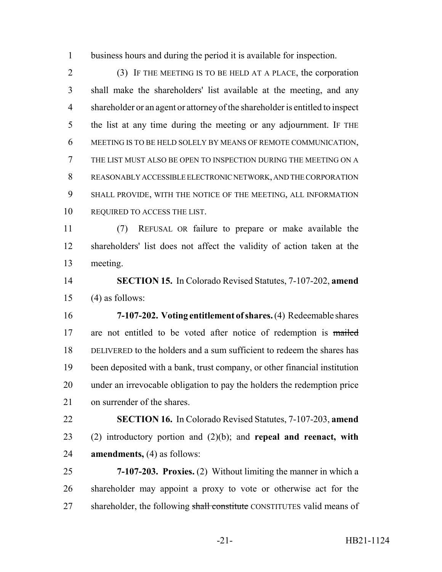business hours and during the period it is available for inspection.

 (3) IF THE MEETING IS TO BE HELD AT A PLACE, the corporation shall make the shareholders' list available at the meeting, and any shareholder or an agent or attorney of the shareholder is entitled to inspect the list at any time during the meeting or any adjournment. IF THE MEETING IS TO BE HELD SOLELY BY MEANS OF REMOTE COMMUNICATION, THE LIST MUST ALSO BE OPEN TO INSPECTION DURING THE MEETING ON A REASONABLY ACCESSIBLE ELECTRONIC NETWORK, AND THE CORPORATION SHALL PROVIDE, WITH THE NOTICE OF THE MEETING, ALL INFORMATION 10 REQUIRED TO ACCESS THE LIST.

 (7) REFUSAL OR failure to prepare or make available the shareholders' list does not affect the validity of action taken at the meeting.

 **SECTION 15.** In Colorado Revised Statutes, 7-107-202, **amend** (4) as follows:

 **7-107-202. Voting entitlement of shares.** (4) Redeemable shares 17 are not entitled to be voted after notice of redemption is mailed DELIVERED to the holders and a sum sufficient to redeem the shares has been deposited with a bank, trust company, or other financial institution under an irrevocable obligation to pay the holders the redemption price on surrender of the shares.

 **SECTION 16.** In Colorado Revised Statutes, 7-107-203, **amend** (2) introductory portion and (2)(b); and **repeal and reenact, with amendments,** (4) as follows:

 **7-107-203. Proxies.** (2) Without limiting the manner in which a shareholder may appoint a proxy to vote or otherwise act for the 27 shareholder, the following shall constitute CONSTITUTES valid means of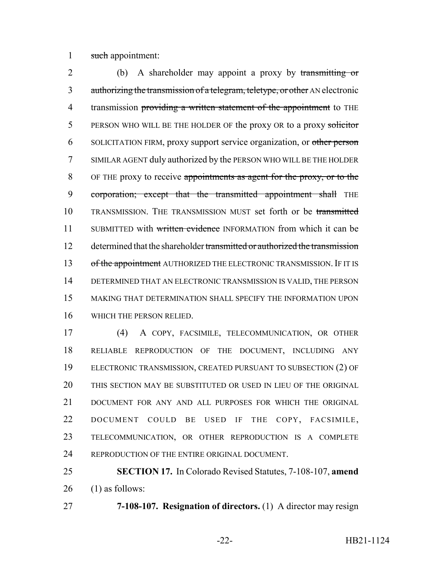1 such appointment:

2 (b) A shareholder may appoint a proxy by transmitting or 3 authorizing the transmission of a telegram, teletype, or other AN electronic 4 transmission providing a written statement of the appointment to THE 5 PERSON WHO WILL BE THE HOLDER OF the proxy OR to a proxy solicitor 6 SOLICITATION FIRM, proxy support service organization, or other person 7 SIMILAR AGENT duly authorized by the PERSON WHO WILL BE THE HOLDER 8 OF THE proxy to receive appointments as agent for the proxy, or to the 9 corporation; except that the transmitted appointment shall THE 10 TRANSMISSION. THE TRANSMISSION MUST set forth or be transmitted 11 SUBMITTED with written evidence INFORMATION from which it can be 12 determined that the shareholder transmitted or authorized the transmission 13 of the appointment AUTHORIZED THE ELECTRONIC TRANSMISSION. IF IT IS 14 DETERMINED THAT AN ELECTRONIC TRANSMISSION IS VALID, THE PERSON 15 MAKING THAT DETERMINATION SHALL SPECIFY THE INFORMATION UPON 16 WHICH THE PERSON RELIED.

 (4) A COPY, FACSIMILE, TELECOMMUNICATION, OR OTHER RELIABLE REPRODUCTION OF THE DOCUMENT, INCLUDING ANY ELECTRONIC TRANSMISSION, CREATED PURSUANT TO SUBSECTION (2) OF THIS SECTION MAY BE SUBSTITUTED OR USED IN LIEU OF THE ORIGINAL DOCUMENT FOR ANY AND ALL PURPOSES FOR WHICH THE ORIGINAL DOCUMENT COULD BE USED IF THE COPY, FACSIMILE, TELECOMMUNICATION, OR OTHER REPRODUCTION IS A COMPLETE 24 REPRODUCTION OF THE ENTIRE ORIGINAL DOCUMENT.

25 **SECTION 17.** In Colorado Revised Statutes, 7-108-107, **amend**  $26$  (1) as follows:

27 **7-108-107. Resignation of directors.** (1) A director may resign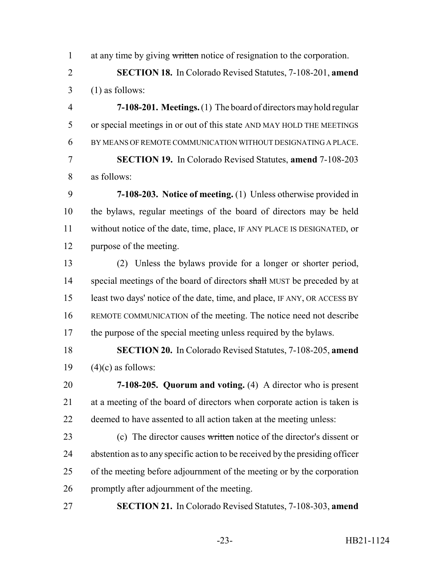1 at any time by giving written notice of resignation to the corporation.

 **SECTION 18.** In Colorado Revised Statutes, 7-108-201, **amend** (1) as follows:

 **7-108-201. Meetings.** (1) The board of directors may hold regular or special meetings in or out of this state AND MAY HOLD THE MEETINGS BY MEANS OF REMOTE COMMUNICATION WITHOUT DESIGNATING A PLACE. **SECTION 19.** In Colorado Revised Statutes, **amend** 7-108-203 as follows:

 **7-108-203. Notice of meeting.** (1) Unless otherwise provided in the bylaws, regular meetings of the board of directors may be held without notice of the date, time, place, IF ANY PLACE IS DESIGNATED, or purpose of the meeting.

 (2) Unless the bylaws provide for a longer or shorter period, 14 special meetings of the board of directors shall MUST be preceded by at least two days' notice of the date, time, and place, IF ANY, OR ACCESS BY REMOTE COMMUNICATION of the meeting. The notice need not describe 17 the purpose of the special meeting unless required by the bylaws.

 **SECTION 20.** In Colorado Revised Statutes, 7-108-205, **amend** 19  $(4)(c)$  as follows:

 **7-108-205. Quorum and voting.** (4) A director who is present at a meeting of the board of directors when corporate action is taken is deemed to have assented to all action taken at the meeting unless:

23 (c) The director causes written notice of the director's dissent or abstention as to any specific action to be received by the presiding officer of the meeting before adjournment of the meeting or by the corporation promptly after adjournment of the meeting.

**SECTION 21.** In Colorado Revised Statutes, 7-108-303, **amend**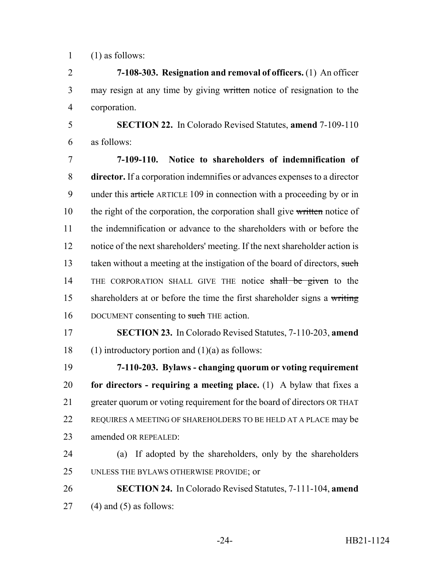$1$  (1) as follows:

2 **7-108-303. Resignation and removal of officers.** (1) An officer 3 may resign at any time by giving written notice of resignation to the 4 corporation.

5 **SECTION 22.** In Colorado Revised Statutes, **amend** 7-109-110 6 as follows:

7 **7-109-110. Notice to shareholders of indemnification of** 8 **director.** If a corporation indemnifies or advances expenses to a director 9 under this article ARTICLE 109 in connection with a proceeding by or in 10 the right of the corporation, the corporation shall give written notice of 11 the indemnification or advance to the shareholders with or before the 12 notice of the next shareholders' meeting. If the next shareholder action is 13 taken without a meeting at the instigation of the board of directors, such 14 THE CORPORATION SHALL GIVE THE notice shall be given to the 15 shareholders at or before the time the first shareholder signs a writing 16 DOCUMENT consenting to such THE action.

17 **SECTION 23.** In Colorado Revised Statutes, 7-110-203, **amend** 18 (1) introductory portion and  $(1)(a)$  as follows:

 **7-110-203. Bylaws - changing quorum or voting requirement for directors - requiring a meeting place.** (1) A bylaw that fixes a greater quorum or voting requirement for the board of directors OR THAT 22 REQUIRES A MEETING OF SHAREHOLDERS TO BE HELD AT A PLACE may be amended OR REPEALED:

24 (a) If adopted by the shareholders, only by the shareholders 25 UNLESS THE BYLAWS OTHERWISE PROVIDE; or

26 **SECTION 24.** In Colorado Revised Statutes, 7-111-104, **amend** 27 (4) and (5) as follows: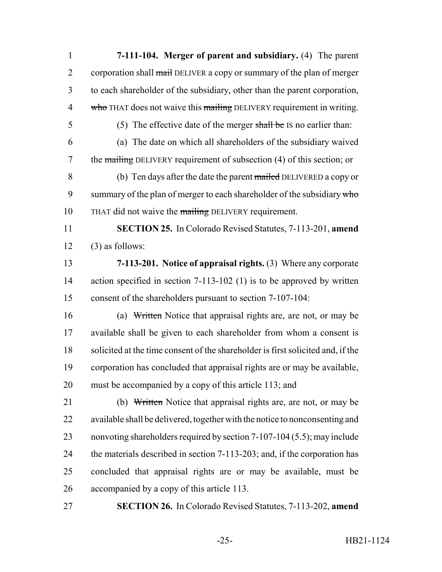**7-111-104. Merger of parent and subsidiary.** (4) The parent 2 corporation shall mail DELIVER a copy or summary of the plan of merger to each shareholder of the subsidiary, other than the parent corporation, 4 who THAT does not waive this mailing DELIVERY requirement in writing. (5) The effective date of the merger shall be IS no earlier than: (a) The date on which all shareholders of the subsidiary waived 7 the mailing DELIVERY requirement of subsection (4) of this section; or 8 (b) Ten days after the date the parent mailed DELIVERED a copy or 9 summary of the plan of merger to each shareholder of the subsidiary  $\frac{1}{2}$ 10 THAT did not waive the mailing DELIVERY requirement. **SECTION 25.** In Colorado Revised Statutes, 7-113-201, **amend** (3) as follows: **7-113-201. Notice of appraisal rights.** (3) Where any corporate 14 action specified in section 7-113-102 (1) is to be approved by written consent of the shareholders pursuant to section 7-107-104: (a) Written Notice that appraisal rights are, are not, or may be available shall be given to each shareholder from whom a consent is solicited at the time consent of the shareholder is first solicited and, if the corporation has concluded that appraisal rights are or may be available, must be accompanied by a copy of this article 113; and 21 (b) Written Notice that appraisal rights are, are not, or may be available shall be delivered, together with the notice to nonconsenting and nonvoting shareholders required by section 7-107-104 (5.5); may include 24 the materials described in section 7-113-203; and, if the corporation has concluded that appraisal rights are or may be available, must be accompanied by a copy of this article 113. **SECTION 26.** In Colorado Revised Statutes, 7-113-202, **amend**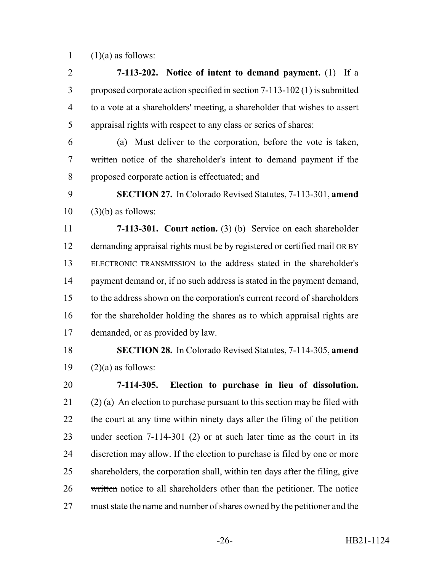1  $(1)(a)$  as follows:

 **7-113-202. Notice of intent to demand payment.** (1) If a proposed corporate action specified in section 7-113-102 (1) is submitted to a vote at a shareholders' meeting, a shareholder that wishes to assert appraisal rights with respect to any class or series of shares:

 (a) Must deliver to the corporation, before the vote is taken, written notice of the shareholder's intent to demand payment if the proposed corporate action is effectuated; and

 **SECTION 27.** In Colorado Revised Statutes, 7-113-301, **amend** (3)(b) as follows:

 **7-113-301. Court action.** (3) (b) Service on each shareholder demanding appraisal rights must be by registered or certified mail OR BY ELECTRONIC TRANSMISSION to the address stated in the shareholder's 14 payment demand or, if no such address is stated in the payment demand, to the address shown on the corporation's current record of shareholders 16 for the shareholder holding the shares as to which appraisal rights are demanded, or as provided by law.

 **SECTION 28.** In Colorado Revised Statutes, 7-114-305, **amend** 19  $(2)(a)$  as follows:

 **7-114-305. Election to purchase in lieu of dissolution.** 21 (2) (a) An election to purchase pursuant to this section may be filed with the court at any time within ninety days after the filing of the petition under section 7-114-301 (2) or at such later time as the court in its discretion may allow. If the election to purchase is filed by one or more shareholders, the corporation shall, within ten days after the filing, give 26 written notice to all shareholders other than the petitioner. The notice must state the name and number of shares owned by the petitioner and the